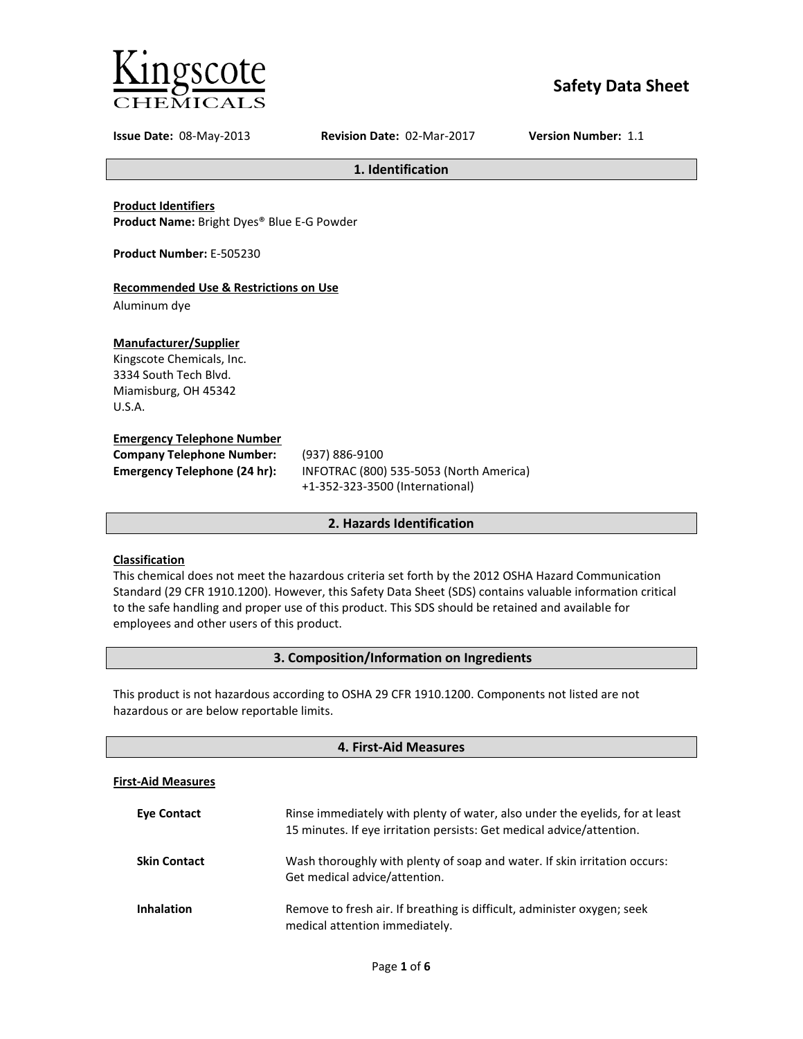

# **Safety Data Sheet**

**Issue Date:** 08-May-2013 **Revision Date:** 02-Mar-2017 **Version Number:** 1.1

**1. Identification**

**Product Identifiers Product Name:** Bright Dyes® Blue E-G Powder

**Product Number:** E-505230

# **Recommended Use & Restrictions on Use**

Aluminum dye

# **Manufacturer/Supplier**

Kingscote Chemicals, Inc. 3334 South Tech Blvd. Miamisburg, OH 45342 U.S.A.

#### **Emergency Telephone Number**

| <b>Company Telephone Number:</b> | (937)      |
|----------------------------------|------------|
| Emergency Telephone (24 hr):     | <b>INF</b> |
|                                  |            |

**Company Telephone Number:** (937) 886-9100 **Emergency Telephone (24 hr):** INFOTRAC (800) 535-5053 (North America) +1-352-323-3500 (International)

# **2. Hazards Identification**

# **Classification**

This chemical does not meet the hazardous criteria set forth by the 2012 OSHA Hazard Communication Standard (29 CFR 1910.1200). However, this Safety Data Sheet (SDS) contains valuable information critical to the safe handling and proper use of this product. This SDS should be retained and available for employees and other users of this product.

# **3. Composition/Information on Ingredients**

This product is not hazardous according to OSHA 29 CFR 1910.1200. Components not listed are not hazardous or are below reportable limits.

| 4. First-Aid Measures     |                                                                                                                                                       |  |
|---------------------------|-------------------------------------------------------------------------------------------------------------------------------------------------------|--|
| <b>First-Aid Measures</b> |                                                                                                                                                       |  |
| <b>Eve Contact</b>        | Rinse immediately with plenty of water, also under the eyelids, for at least<br>15 minutes. If eye irritation persists: Get medical advice/attention. |  |
| <b>Skin Contact</b>       | Wash thoroughly with plenty of soap and water. If skin irritation occurs:<br>Get medical advice/attention.                                            |  |
| <b>Inhalation</b>         | Remove to fresh air. If breathing is difficult, administer oxygen; seek<br>medical attention immediately.                                             |  |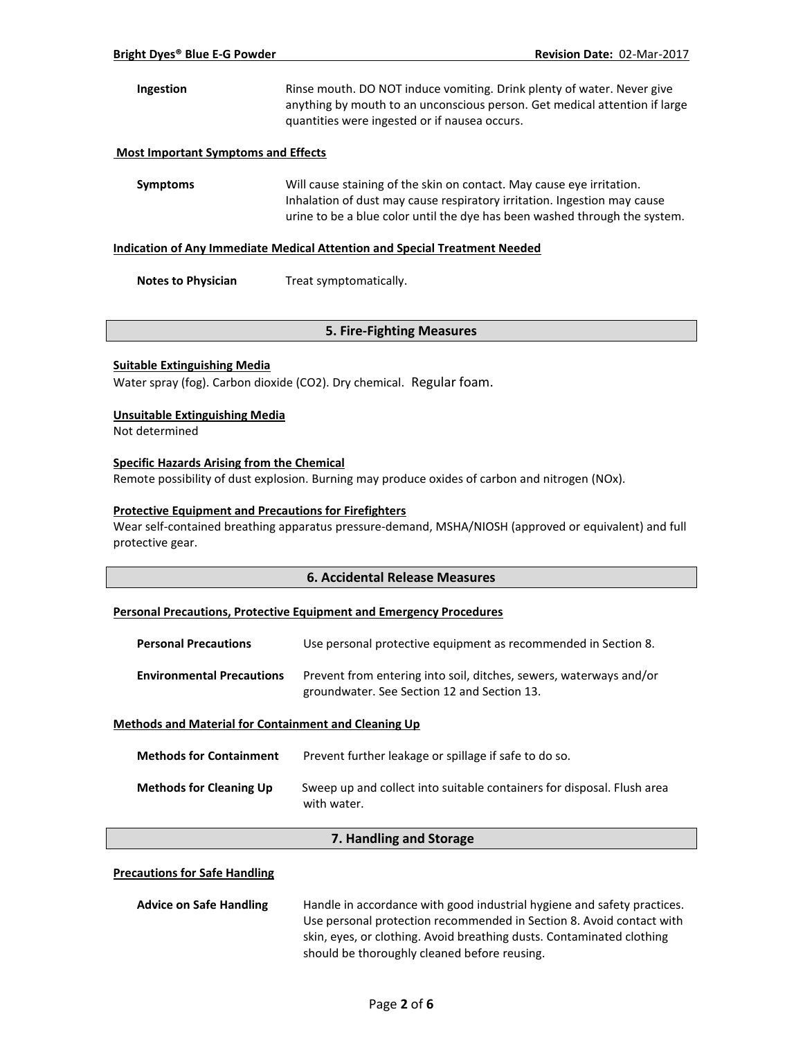| <b>Ingestion</b> | Rinse mouth. DO NOT induce vomiting. Drink plenty of water. Never give     |
|------------------|----------------------------------------------------------------------------|
|                  | anything by mouth to an unconscious person. Get medical attention if large |
|                  | quantities were ingested or if nausea occurs.                              |

### **Most Important Symptoms and Effects**

**Symptoms** Will cause staining of the skin on contact. May cause eye irritation. Inhalation of dust may cause respiratory irritation. Ingestion may cause urine to be a blue color until the dye has been washed through the system.

#### **Indication of Any Immediate Medical Attention and Special Treatment Needed**

**Notes to Physician** Treat symptomatically.

# **5. Fire-Fighting Measures**

#### **Suitable Extinguishing Media**

Water spray (fog). Carbon dioxide (CO2). Dry chemical. Regular foam.

#### **Unsuitable Extinguishing Media**

Not determined

#### **Specific Hazards Arising from the Chemical**

Remote possibility of dust explosion. Burning may produce oxides of carbon and nitrogen (NOx).

#### **Protective Equipment and Precautions for Firefighters**

Wear self-contained breathing apparatus pressure-demand, MSHA/NIOSH (approved or equivalent) and full protective gear.

# **6. Accidental Release Measures**

#### **Personal Precautions, Protective Equipment and Emergency Procedures**

| <b>Personal Precautions</b>      | Use personal protective equipment as recommended in Section 8.                                                    |
|----------------------------------|-------------------------------------------------------------------------------------------------------------------|
| <b>Environmental Precautions</b> | Prevent from entering into soil, ditches, sewers, waterways and/or<br>groundwater. See Section 12 and Section 13. |

#### **Methods and Material for Containment and Cleaning Up**

| <b>Methods for Containment</b> | Prevent further leakage or spillage if safe to do so.                                 |
|--------------------------------|---------------------------------------------------------------------------------------|
| <b>Methods for Cleaning Up</b> | Sweep up and collect into suitable containers for disposal. Flush area<br>with water. |

# **7. Handling and Storage**

#### **Precautions for Safe Handling**

| <b>Advice on Safe Handling</b>                                        | Handle in accordance with good industrial hygiene and safety practices. |
|-----------------------------------------------------------------------|-------------------------------------------------------------------------|
|                                                                       | Use personal protection recommended in Section 8. Avoid contact with    |
| skin, eyes, or clothing. Avoid breathing dusts. Contaminated clothing |                                                                         |
|                                                                       | should be thoroughly cleaned before reusing.                            |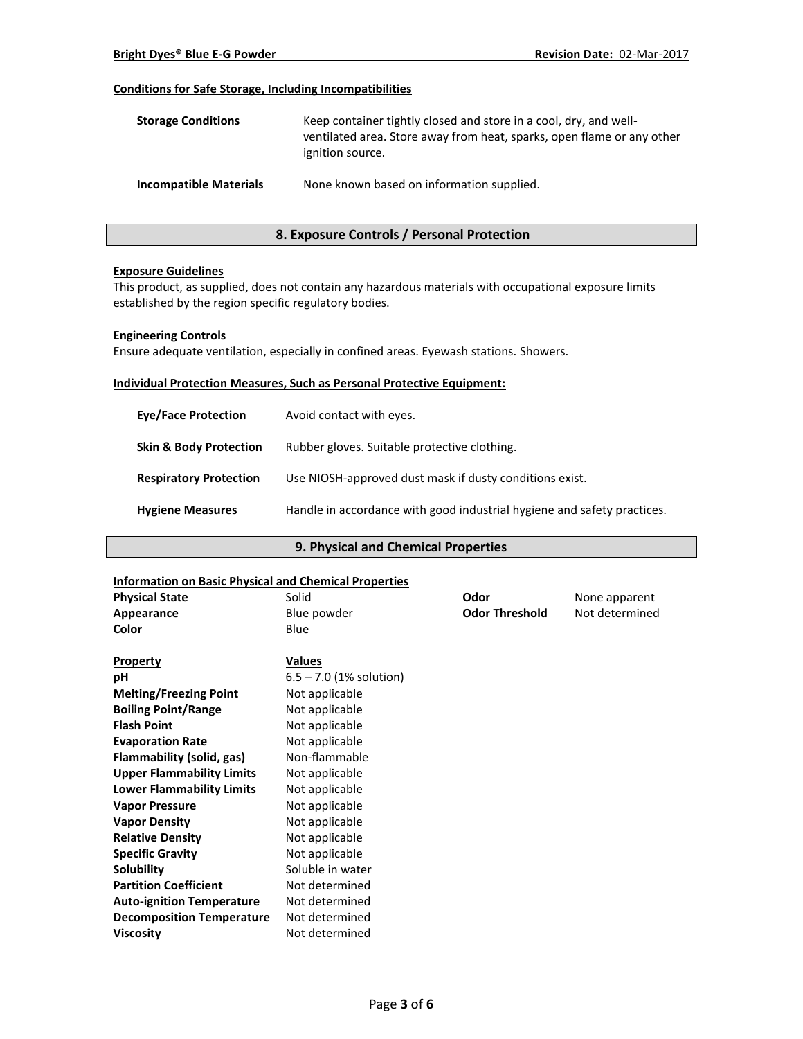# **Conditions for Safe Storage, Including Incompatibilities**

| <b>Storage Conditions</b>     | Keep container tightly closed and store in a cool, dry, and well-<br>ventilated area. Store away from heat, sparks, open flame or any other<br>ignition source. |
|-------------------------------|-----------------------------------------------------------------------------------------------------------------------------------------------------------------|
| <b>Incompatible Materials</b> | None known based on information supplied.                                                                                                                       |

# **8. Exposure Controls / Personal Protection**

#### **Exposure Guidelines**

This product, as supplied, does not contain any hazardous materials with occupational exposure limits established by the region specific regulatory bodies.

#### **Engineering Controls**

Ensure adequate ventilation, especially in confined areas. Eyewash stations. Showers.

#### **Individual Protection Measures, Such as Personal Protective Equipment:**

| <b>Eve/Face Protection</b>        | Avoid contact with eyes.                                                |
|-----------------------------------|-------------------------------------------------------------------------|
| <b>Skin &amp; Body Protection</b> | Rubber gloves. Suitable protective clothing.                            |
| <b>Respiratory Protection</b>     | Use NIOSH-approved dust mask if dusty conditions exist.                 |
| <b>Hygiene Measures</b>           | Handle in accordance with good industrial hygiene and safety practices. |

# **9. Physical and Chemical Properties**

### **Information on Basic Physical and Chemical Properties**

| <b>Physical State</b>            | Solid                     | Odor                  | None apparent  |
|----------------------------------|---------------------------|-----------------------|----------------|
| Appearance                       | Blue powder               | <b>Odor Threshold</b> | Not determined |
| Color                            | Blue                      |                       |                |
|                                  |                           |                       |                |
| Property                         | <b>Values</b>             |                       |                |
| pH                               | $6.5 - 7.0$ (1% solution) |                       |                |
| <b>Melting/Freezing Point</b>    | Not applicable            |                       |                |
| <b>Boiling Point/Range</b>       | Not applicable            |                       |                |
| <b>Flash Point</b>               | Not applicable            |                       |                |
| <b>Evaporation Rate</b>          | Not applicable            |                       |                |
| Flammability (solid, gas)        | Non-flammable             |                       |                |
| <b>Upper Flammability Limits</b> | Not applicable            |                       |                |
| <b>Lower Flammability Limits</b> | Not applicable            |                       |                |
| <b>Vapor Pressure</b>            | Not applicable            |                       |                |
| <b>Vapor Density</b>             | Not applicable            |                       |                |
| <b>Relative Density</b>          | Not applicable            |                       |                |
| <b>Specific Gravity</b>          | Not applicable            |                       |                |
| Solubility                       | Soluble in water          |                       |                |
| <b>Partition Coefficient</b>     | Not determined            |                       |                |
| <b>Auto-ignition Temperature</b> | Not determined            |                       |                |
| <b>Decomposition Temperature</b> | Not determined            |                       |                |
| <b>Viscosity</b>                 | Not determined            |                       |                |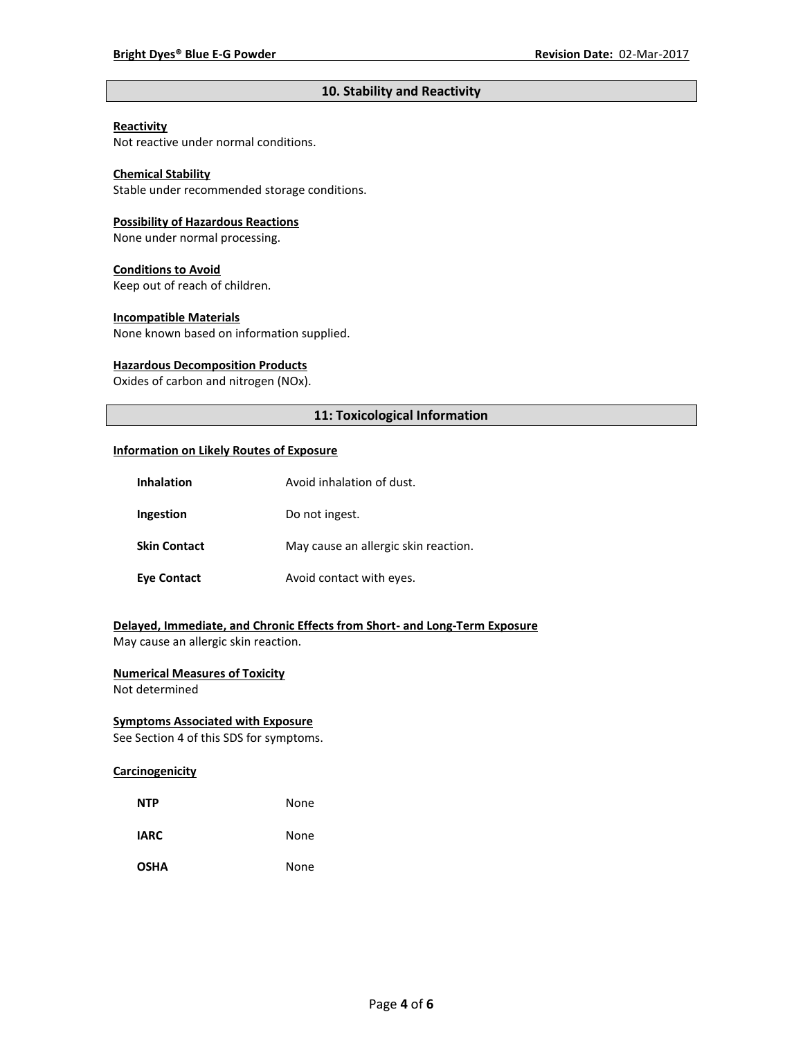# **10. Stability and Reactivity**

# **Reactivity**

Not reactive under normal conditions.

# **Chemical Stability**

Stable under recommended storage conditions.

#### **Possibility of Hazardous Reactions**

None under normal processing.

#### **Conditions to Avoid**

Keep out of reach of children.

#### **Incompatible Materials**

None known based on information supplied.

#### **Hazardous Decomposition Products**

Oxides of carbon and nitrogen (NOx).

# **11: Toxicological Information**

#### **Information on Likely Routes of Exposure**

| <b>Inhalation</b>   | Avoid inhalation of dust.            |  |
|---------------------|--------------------------------------|--|
| Ingestion           | Do not ingest.                       |  |
| <b>Skin Contact</b> | May cause an allergic skin reaction. |  |
| <b>Eye Contact</b>  | Avoid contact with eyes.             |  |

# **Delayed, Immediate, and Chronic Effects from Short- and Long-Term Exposure**

May cause an allergic skin reaction.

# **Numerical Measures of Toxicity**

Not determined

# **Symptoms Associated with Exposure**

See Section 4 of this SDS for symptoms.

# **Carcinogenicity**

| <b>NTP</b>  | None |
|-------------|------|
| <b>IARC</b> | None |
| <b>OSHA</b> | None |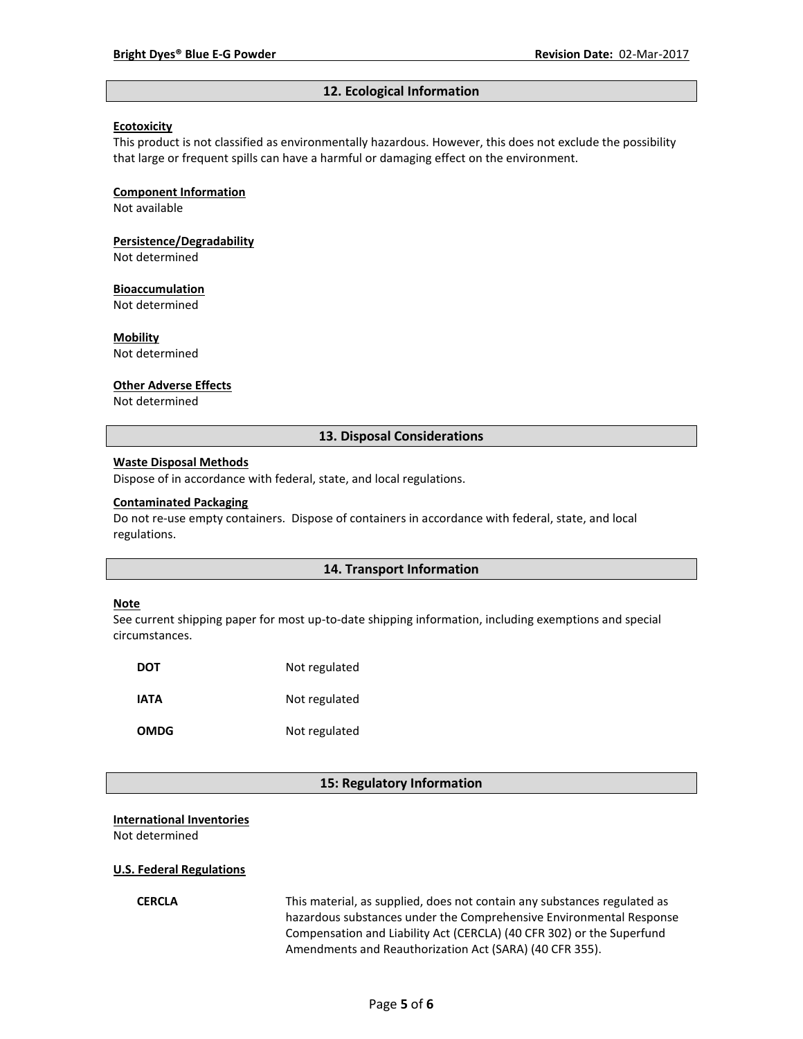#### **12. Ecological Information**

#### **Ecotoxicity**

This product is not classified as environmentally hazardous. However, this does not exclude the possibility that large or frequent spills can have a harmful or damaging effect on the environment.

#### **Component Information**

Not available

# **Persistence/Degradability**

Not determined

#### **Bioaccumulation**

Not determined

#### **Mobility**

Not determined

#### **Other Adverse Effects**

Not determined

#### **13. Disposal Considerations**

#### **Waste Disposal Methods**

Dispose of in accordance with federal, state, and local regulations.

#### **Contaminated Packaging**

Do not re-use empty containers.Dispose of containers in accordance with federal, state, and local regulations.

#### **14. Transport Information**

#### **Note**

See current shipping paper for most up-to-date shipping information, including exemptions and special circumstances.

| DOT         | Not regulated |
|-------------|---------------|
| IATA        | Not regulated |
| <b>OMDG</b> | Not regulated |

#### **15: Regulatory Information**

#### **International Inventories**

Not determined

#### **U.S. Federal Regulations**

**CERCLA** This material, as supplied, does not contain any substances regulated as hazardous substances under the Comprehensive Environmental Response Compensation and Liability Act (CERCLA) (40 CFR 302) or the Superfund Amendments and Reauthorization Act (SARA) (40 CFR 355).